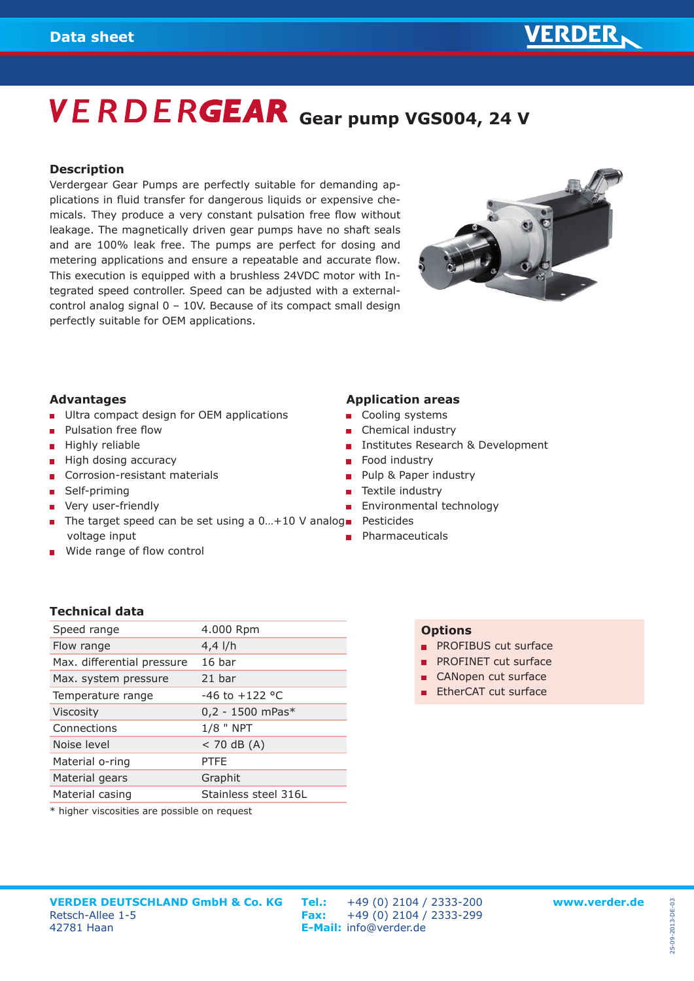## **VERDERGEAR** Gear pump VGS004, 24 V

### **Description**

Verdergear Gear Pumps are perfectly suitable for demanding applications in fluid transfer for dangerous liquids or expensive chemicals. They produce a very constant pulsation free flow without leakage. The magnetically driven gear pumps have no shaft seals and are 100% leak free. The pumps are perfect for dosing and metering applications and ensure a repeatable and accurate flow. This execution is equipped with a brushless 24VDC motor with Integrated speed controller. Speed can be adjusted with a externalcontrol analog signal 0 – 10V. Because of its compact small design perfectly suitable for OEM applications.



## **Advantages**

- **Ultra compact design for OEM applications**
- **Pulsation free flow**
- $\blacksquare$  Highly reliable
- $\blacksquare$  High dosing accuracy
- Corrosion-resistant materials
- Self-priming  $\blacksquare$
- **Very user-friendly**
- The target speed can be set using a 0...+10 V analog Pesticides voltage input
- Wide range of flow control

### **Application areas**

- Cooling systems
- Chemical industry
- **Institutes Research & Development**
- Food industry
- **Pulp & Paper industry**
- Textile industry
- Environmental technology
- 
- **Pharmaceuticals**

## **Technical data**

| Speed range                | 4.000 Rpm            |
|----------------------------|----------------------|
| Flow range                 | $4,4$ I/h            |
| Max. differential pressure | 16 <sub>bar</sub>    |
| Max. system pressure       | 21 bar               |
| Temperature range          | $-46$ to $+122$ °C   |
| <b>Viscosity</b>           | $0,2 - 1500$ mPas*   |
| Connections                | $1/8$ " NPT          |
| Noise level                | $<$ 70 dB (A)        |
| Material o-ring            | <b>PTFF</b>          |
| Material gears             | Graphit              |
| Material casing            | Stainless steel 316L |
|                            |                      |

\* higher viscosities are possible on request

## **VERDER DEUTSCHLAND GmbH & Co. KG Tel.:** +49 (0) 2104 / 2333-200 **www.verder.de VERDER DEUTSCHLAND GmbH & Co. KG**<br>Retsch-Allee 1-5<br>47781 Haan<br>**Fe-Mail:** info@verder.de

42781 Haan **E-Mail:** info@verder.de

## **Options**

- **PROFIBUS cut surface**
- **PROFINET cut surface**
- CANopen cut surface
- **EtherCAT cut surface**